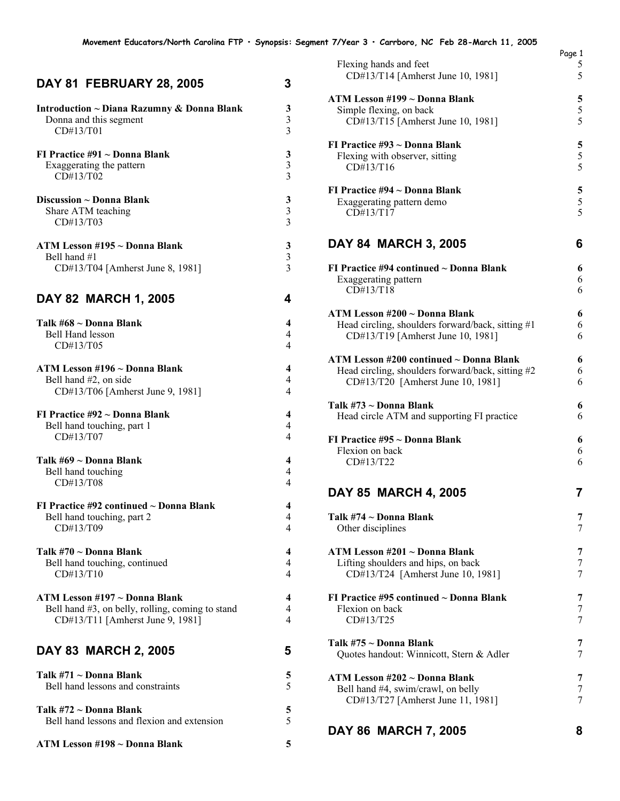## **DAY 81 FEBRUARY 28, 2005 3**

| Introduction ~ Diana Razumny & Donna Blank       | 3                       |
|--------------------------------------------------|-------------------------|
| Donna and this segment                           | $\mathfrak{Z}$          |
| CD#13/T01                                        | $\overline{3}$          |
| FI Practice #91 ~ Donna Blank                    | 3                       |
| Exaggerating the pattern                         | $\mathfrak{Z}$          |
| CD#13/T02                                        | 3                       |
| Discussion ~ Donna Blank                         | 3                       |
| Share ATM teaching                               | $\mathfrak{Z}$          |
| CD#13/T03                                        | 3                       |
| ATM Lesson #195 ~ Donna Blank                    | 3                       |
| Bell hand #1                                     | $\overline{3}$          |
| CD#13/T04 [Amherst June 8, 1981]                 | 3                       |
| DAY 82 MARCH 1, 2005                             | 4                       |
| Talk #68 ~ Donna Blank                           | 4                       |
| <b>Bell Hand lesson</b>                          | $\overline{4}$          |
| CD#13/T05                                        | 4                       |
| ATM Lesson #196 ~ Donna Blank                    | 4                       |
| Bell hand #2, on side                            | 4                       |
| CD#13/T06 [Amherst June 9, 1981]                 | 4                       |
| FI Practice #92 ~ Donna Blank                    | $\overline{\mathbf{4}}$ |
| Bell hand touching, part 1                       | $\overline{4}$          |
| CD#13/T07                                        | 4                       |
| Talk #69 ~ Donna Blank                           | 4                       |
| Bell hand touching                               | $\overline{4}$          |
| CD#13/T08                                        | 4                       |
| FI Practice $\#92$ continued $\sim$ Donna Blank  | 4                       |
| Bell hand touching, part 2                       | $\overline{4}$          |
| CD#13/T09                                        | 4                       |
| Talk #70 ~ Donna Blank                           | 4                       |
| Bell hand touching, continued                    | $\overline{4}$          |
| CD#13/T10                                        | $\overline{4}$          |
| ATM Lesson #197 ~ Donna Blank                    | 4                       |
| Bell hand #3, on belly, rolling, coming to stand | 4                       |
| CD#13/T11 [Amherst June 9, 1981]                 | 4                       |
| DAY 83 MARCH 2, 2005                             | 5                       |
| Talk #71 ~ Donna Blank                           | 5                       |
| Bell hand lessons and constraints                | 5                       |
| Talk #72 ~ Donna Blank                           | 5                       |
| Bell hand lessons and flexion and extension      | 5                       |
| ATM Lesson #198 ~ Donna Blank                    | 5                       |

|                                                   | Page 1 |
|---------------------------------------------------|--------|
| Flexing hands and feet                            | 5<br>5 |
| CD#13/T14 [Amherst June 10, 1981]                 |        |
| ATM Lesson #199 ~ Donna Blank                     | 5      |
| Simple flexing, on back                           | 5      |
| CD#13/T15 [Amherst June 10, 1981]                 | 5      |
| FI Practice #93 ~ Donna Blank                     | 5      |
| Flexing with observer, sitting                    | 5      |
| CD#13/T16                                         | 5      |
| FI Practice #94 ~ Donna Blank                     | 5      |
| Exaggerating pattern demo                         | 5      |
| CD#13/T17                                         | 5      |
| <b>DAY 84 MARCH 3, 2005</b>                       | 6      |
| FI Practice #94 continued ~ Donna Blank           | 6      |
| Exaggerating pattern                              | 6      |
| CD#13/T18                                         | 6      |
| ATM Lesson #200 ~ Donna Blank                     | 6      |
| Head circling, shoulders forward/back, sitting #1 | 6      |
| CD#13/T19 [Amherst June 10, 1981]                 | 6      |
| ATM Lesson #200 continued ~ Donna Blank           | 6      |
| Head circling, shoulders forward/back, sitting #2 | 6      |
| CD#13/T20 [Amherst June 10, 1981]                 | 6      |
| Talk #73 ~ Donna Blank                            | 6      |
| Head circle ATM and supporting FI practice        | 6      |
| FI Practice #95 ~ Donna Blank                     | 6      |
| Flexion on back                                   | 6      |
| CD#13/T22                                         | 6      |
| DAY 85 MARCH 4, 2005                              | 7      |
| Talk #74 ~ Donna Blank                            | 7      |
| Other disciplines                                 | 7      |
| ATM Lesson #201 ~ Donna Blank                     | 7      |
| Lifting shoulders and hips, on back               | 7      |
| CD#13/T24 [Amherst June 10, 1981]                 | 7      |
| FI Practice #95 continued $\sim$ Donna Blank      | 7      |
| Flexion on back                                   | 7      |
| CD#13/T25                                         | 7      |
| Talk #75 ~ Donna Blank                            | 7      |
| Quotes handout: Winnicott, Stern & Adler          | 7      |
| ATM Lesson #202 ~ Donna Blank                     | 7      |
| Bell hand #4, swim/crawl, on belly                | 7      |
| CD#13/T27 [Amherst June 11, 1981]                 | 7      |
|                                                   | 8      |
| DAY 86 MARCH 7, 2005                              |        |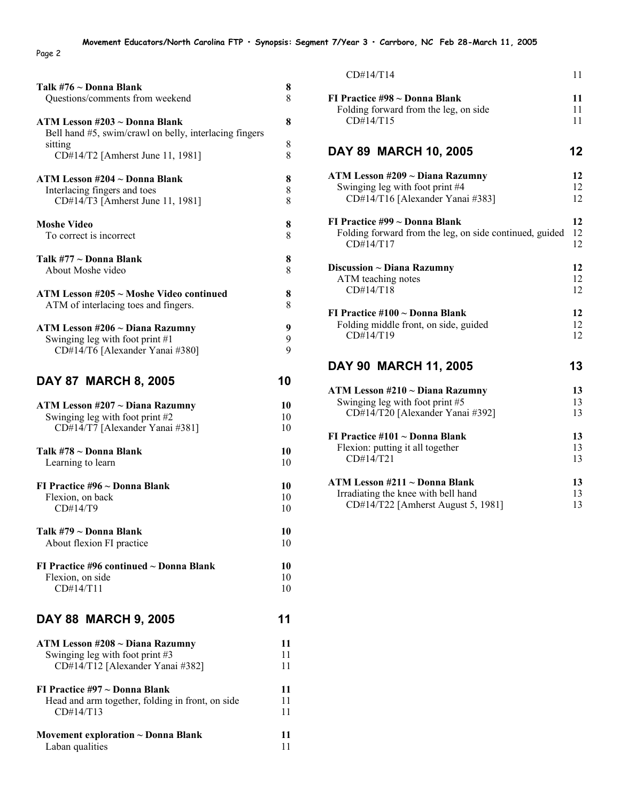Page 2

| Talk #76 ~ Donna Blank                                                                  | 8  |
|-----------------------------------------------------------------------------------------|----|
| Questions/comments from weekend                                                         | 8  |
| ATM Lesson #203 ~ Donna Blank<br>Bell hand #5, swim/crawl on belly, interlacing fingers | 8  |
| sitting                                                                                 | 8  |
| CD#14/T2 [Amherst June 11, 1981]                                                        | 8  |
| ATM Lesson #204 ~ Donna Blank                                                           | 8  |
| Interlacing fingers and toes                                                            | 8  |
| CD#14/T3 [Amherst June 11, 1981]                                                        | 8  |
| <b>Moshe Video</b>                                                                      | 8  |
| To correct is incorrect                                                                 | 8  |
| Talk #77 ~ Donna Blank                                                                  | 8  |
| About Moshe video                                                                       | 8  |
| ATM Lesson #205 ~ Moshe Video continued                                                 | 8  |
| ATM of interlacing toes and fingers.                                                    | 8  |
| ATM Lesson #206 ~ Diana Razumny                                                         | 9  |
| Swinging leg with foot print $#1$                                                       | 9  |
| CD#14/T6 [Alexander Yanai #380]                                                         | 9  |
| <b>DAY 87 MARCH 8, 2005</b>                                                             | 10 |
| ATM Lesson #207 ~ Diana Razumny                                                         | 10 |
| Swinging leg with foot print #2                                                         | 10 |
| CD#14/T7 [Alexander Yanai #381]                                                         | 10 |
| Talk #78 ~ Donna Blank                                                                  | 10 |
| Learning to learn                                                                       | 10 |
| FI Practice #96 ~ Donna Blank                                                           | 10 |
| Flexion, on back                                                                        | 10 |
| CD#14/T9                                                                                | 10 |
| Talk #79 ~ Donna Blank                                                                  | 10 |
| About flexion FI practice                                                               | 10 |
| FI Practice #96 continued $\sim$ Donna Blank                                            | 10 |
| Flexion, on side                                                                        | 10 |
| CD#14/T11                                                                               | 10 |
| <b>DAY 88 MARCH 9, 2005</b>                                                             | 11 |
| ATM Lesson #208 ~ Diana Razumny                                                         | 11 |
| Swinging leg with foot print #3                                                         | 11 |
| CD#14/T12 [Alexander Yanai #382]                                                        | 11 |
| FI Practice $\#97 \sim$ Donna Blank                                                     | 11 |
| Head and arm together, folding in front, on side                                        | 11 |
| CD#14/T13                                                                               | 11 |
| Movement exploration $\sim$ Donna Blank                                                 | 11 |
| Laban qualities                                                                         | 11 |

| CD#14/T14                                               | 11 |
|---------------------------------------------------------|----|
| FI Practice #98 ~ Donna Blank                           | 11 |
| Folding forward from the leg, on side                   | 11 |
| CD#14/T15                                               | 11 |
| DAY 89 MARCH 10, 2005                                   | 12 |
| ATM Lesson #209 ~ Diana Razumny                         | 12 |
| Swinging leg with foot print #4                         | 12 |
| CD#14/T16 [Alexander Yanai #383]                        | 12 |
| FI Practice #99 ~ Donna Blank                           | 12 |
| Folding forward from the leg, on side continued, guided | 12 |
| CD#14/T17                                               | 12 |
| Discussion ~ Diana Razumny                              | 12 |
| ATM teaching notes                                      | 12 |
| CD#14/T18                                               | 12 |
| FI Practice #100 ~ Donna Blank                          | 12 |
| Folding middle front, on side, guided                   | 12 |
| CD#14/T19                                               | 12 |
| DAY 90 MARCH 11, 2005                                   | 13 |
| ATM Lesson #210 ~ Diana Razumny                         | 13 |
| Swinging leg with foot print #5                         | 13 |
| CD#14/T20 [Alexander Yanai #392]                        | 13 |
| FI Practice #101 ~ Donna Blank                          | 13 |
| Flexion: putting it all together                        | 13 |
| CD#14/T21                                               | 13 |
| ATM Lesson #211 ~ Donna Blank                           | 13 |
| Irradiating the knee with bell hand                     | 13 |
| CD#14/T22 [Amherst August 5, 1981]                      | 13 |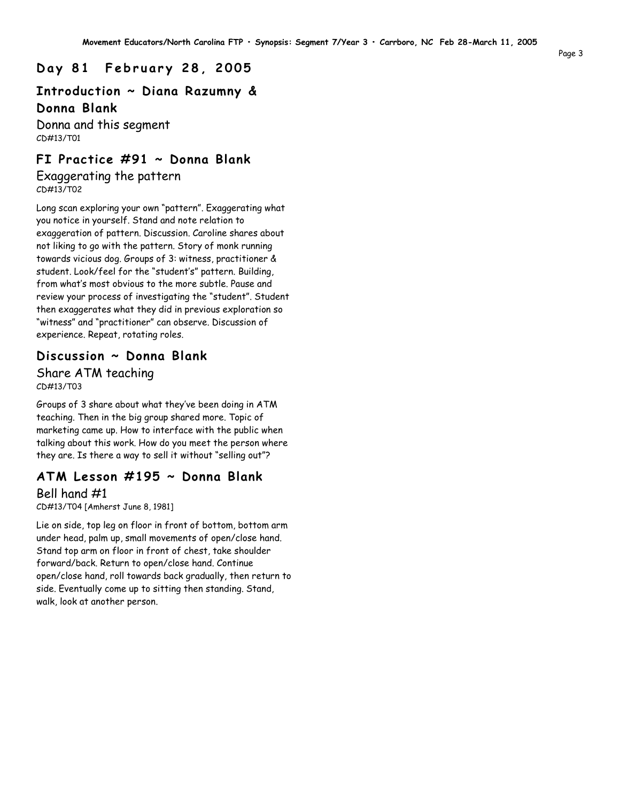### **D a y 8 1 F e b r u a r y 2 8 , 2 0 0 5**

### **Introduction ~ Diana Razumny & Donna Blank**

Donna and this segment CD#13/T01

### **FI Practice #91 ~ Donna Blank**

Exaggerating the pattern CD#13/T02

Long scan exploring your own "pattern". Exaggerating what you notice in yourself. Stand and note relation to exaggeration of pattern. Discussion. Caroline shares about not liking to go with the pattern. Story of monk running towards vicious dog. Groups of 3: witness, practitioner & student. Look/feel for the "student's" pattern. Building, from what's most obvious to the more subtle. Pause and review your process of investigating the "student". Student then exaggerates what they did in previous exploration so "witness" and "practitioner" can observe. Discussion of experience. Repeat, rotating roles.

### **Discussion ~ Donna Blank** Share ATM teaching CD#13/T03

Groups of 3 share about what they've been doing in ATM teaching. Then in the big group shared more. Topic of marketing came up. How to interface with the public when talking about this work. How do you meet the person where they are. Is there a way to sell it without "selling out"?

### **ATM Lesson #195 ~ Donna Blank**

#### Bell hand #1

CD#13/T04 [Amherst June 8, 1981]

Lie on side, top leg on floor in front of bottom, bottom arm under head, palm up, small movements of open/close hand. Stand top arm on floor in front of chest, take shoulder forward/back. Return to open/close hand. Continue open/close hand, roll towards back gradually, then return to side. Eventually come up to sitting then standing. Stand, walk, look at another person.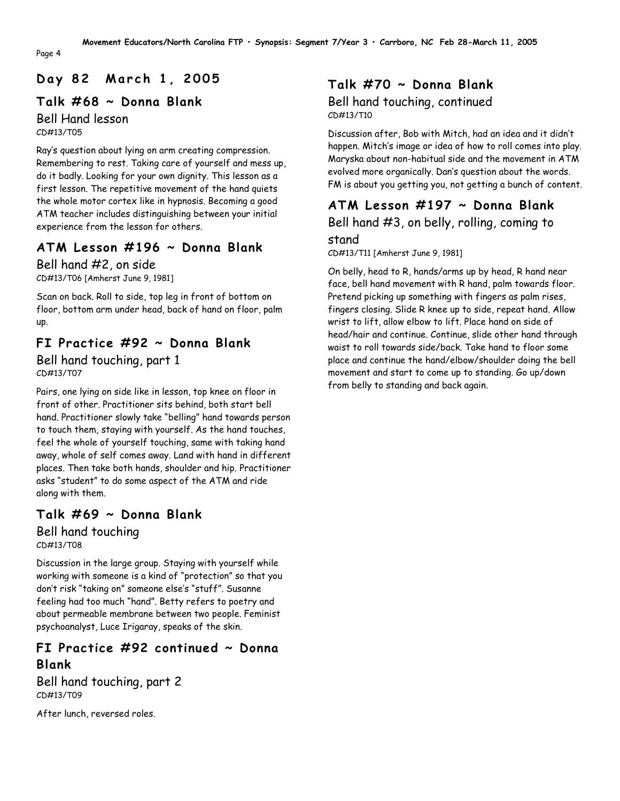# **D a y 8 2 M a r c h 1 , 2 0 0 5**

## **Talk #68 ~ Donna Blank**

Bell Hand lesson CD#13/T05

Ray's question about lying on arm creating compression. Remembering to rest. Taking care of yourself and mess up, do it badly. Looking for your own dignity. This lesson as a first lesson. The repetitive movement of the hand quiets the whole motor cortex like in hypnosis. Becoming a good ATM teacher includes distinguishing between your initial experience from the lesson for others.

# **ATM Lesson #196 ~ Donna Blank**

Bell hand #2, on side CD#13/T06 [Amherst June 9, 1981]

Scan on back. Roll to side, top leg in front of bottom on floor, bottom arm under head, back of hand on floor, palm up.

# **FI Practice #92 ~ Donna Blank**

Bell hand touching, part 1 CD#13/T07

Pairs, one lying on side like in lesson, top knee on floor in front of other. Practitioner sits behind, both start bell hand. Practitioner slowly take "belling" hand towards person to touch them, staying with yourself. As the hand touches, feel the whole of yourself touching, same with taking hand away, whole of self comes away. Land with hand in different places. Then take both hands, shoulder and hip. Practitioner asks "student" to do some aspect of the ATM and ride along with them.

# **Talk #69 ~ Donna Blank**

Bell hand touching CD#13/T08

Discussion in the large group. Staying with yourself while working with someone is a kind of "protection" so that you don't risk "taking on" someone else's "stuff". Susanne feeling had too much "hand". Betty refers to poetry and about permeable membrane between two people. Feminist psychoanalyst, Luce Irigaray, speaks of the skin.

# **FI Practice #92 continued ~ Donna Blank**

Bell hand touching, part 2 CD#13/T09

After lunch, reversed roles.

### **Talk #70 ~ Donna Blank** Bell hand touching, continued CD#13/T10

Discussion after, Bob with Mitch, had an idea and it didn't happen. Mitch's image or idea of how to roll comes into play. Maryska about non-habitual side and the movement in ATM evolved more organically. Dan's question about the words. FM is about you getting you, not getting a bunch of content.

# **ATM Lesson #197 ~ Donna Blank** Bell hand #3, on belly, rolling, coming to

#### stand

CD#13/T11 [Amherst June 9, 1981]

On belly, head to R, hands/arms up by head, R hand near face, bell hand movement with R hand, palm towards floor. Pretend picking up something with fingers as palm rises, fingers closing. Slide R knee up to side, repeat hand. Allow wrist to lift, allow elbow to lift. Place hand on side of head/hair and continue. Continue, slide other hand through waist to roll towards side/back. Take hand to floor some place and continue the hand/elbow/shoulder doing the bell movement and start to come up to standing. Go up/down from belly to standing and back again.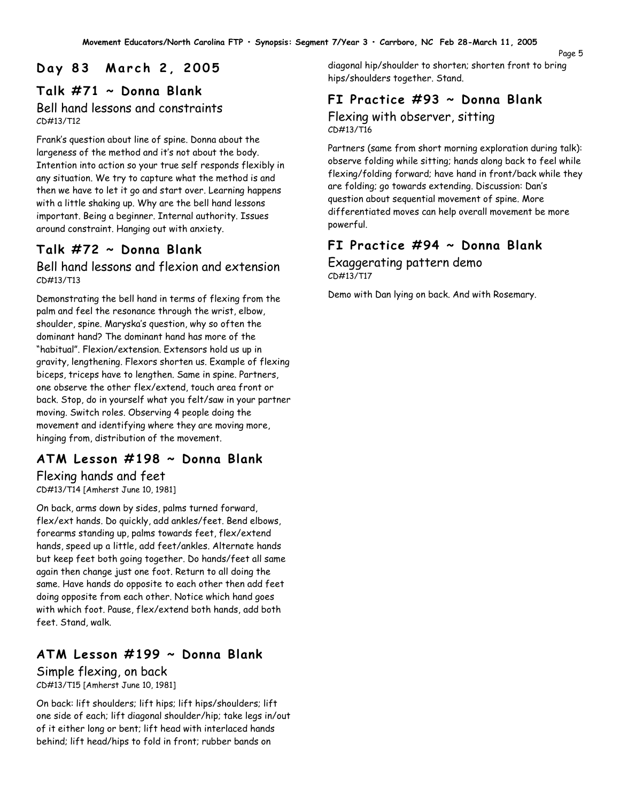#### Page 5

# **D a y 8 3 M a r c h 2 , 2 0 0 5**

### **Talk #71 ~ Donna Blank** Bell hand lessons and constraints CD#13/T12

Frank's question about line of spine. Donna about the largeness of the method and it's not about the body. Intention into action so your true self responds flexibly in any situation. We try to capture what the method is and then we have to let it go and start over. Learning happens with a little shaking up. Why are the bell hand lessons important. Being a beginner. Internal authority. Issues around constraint. Hanging out with anxiety.

# **Talk #72 ~ Donna Blank**

### Bell hand lessons and flexion and extension CD#13/T13

Demonstrating the bell hand in terms of flexing from the palm and feel the resonance through the wrist, elbow, shoulder, spine. Maryska's question, why so often the dominant hand? The dominant hand has more of the "habitual". Flexion/extension. Extensors hold us up in gravity, lengthening. Flexors shorten us. Example of flexing biceps, triceps have to lengthen. Same in spine. Partners, one observe the other flex/extend, touch area front or back. Stop, do in yourself what you felt/saw in your partner moving. Switch roles. Observing 4 people doing the movement and identifying where they are moving more, hinging from, distribution of the movement.

# **ATM Lesson #198 ~ Donna Blank**

Flexing hands and feet CD#13/T14 [Amherst June 10, 1981]

On back, arms down by sides, palms turned forward, flex/ext hands. Do quickly, add ankles/feet. Bend elbows, forearms standing up, palms towards feet, flex/extend hands, speed up a little, add feet/ankles. Alternate hands but keep feet both going together. Do hands/feet all same again then change just one foot. Return to all doing the same. Have hands do opposite to each other then add feet doing opposite from each other. Notice which hand goes with which foot. Pause, flex/extend both hands, add both feet. Stand, walk.

# **ATM Lesson #199 ~ Donna Blank** Simple flexing, on back

CD#13/T15 [Amherst June 10, 1981]

On back: lift shoulders; lift hips; lift hips/shoulders; lift one side of each; lift diagonal shoulder/hip; take legs in/out of it either long or bent; lift head with interlaced hands behind; lift head/hips to fold in front; rubber bands on

diagonal hip/shoulder to shorten; shorten front to bring hips/shoulders together. Stand.

# **FI Practice #93 ~ Donna Blank**

#### Flexing with observer, sitting CD#13/T16

Partners (same from short morning exploration during talk): observe folding while sitting; hands along back to feel while flexing/folding forward; have hand in front/back while they are folding; go towards extending. Discussion: Dan's question about sequential movement of spine. More differentiated moves can help overall movement be more powerful.

# **FI Practice #94 ~ Donna Blank**

Exaggerating pattern demo CD#13/T17

Demo with Dan lying on back. And with Rosemary.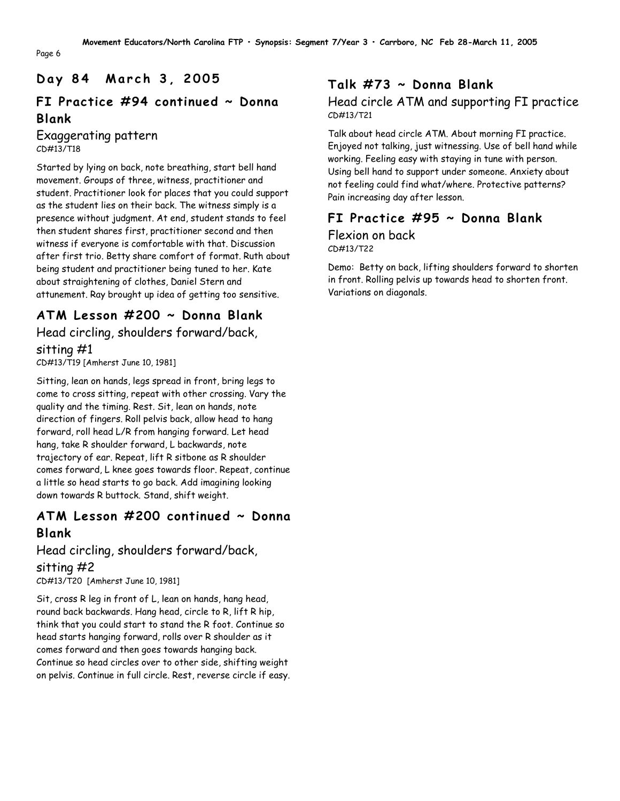# **D a y 8 4 M a r c h 3 , 2 0 0 5**

# **FI Practice #94 continued ~ Donna Blank**

### Exaggerating pattern CD#13/T18

Started by lying on back, note breathing, start bell hand movement. Groups of three, witness, practitioner and student. Practitioner look for places that you could support as the student lies on their back. The witness simply is a presence without judgment. At end, student stands to feel then student shares first, practitioner second and then witness if everyone is comfortable with that. Discussion after first trio. Betty share comfort of format. Ruth about being student and practitioner being tuned to her. Kate about straightening of clothes, Daniel Stern and attunement. Ray brought up idea of getting too sensitive.

# **ATM Lesson #200 ~ Donna Blank**

## Head circling, shoulders forward/back, sitting #1

CD#13/T19 [Amherst June 10, 1981]

Sitting, lean on hands, legs spread in front, bring legs to come to cross sitting, repeat with other crossing. Vary the quality and the timing. Rest. Sit, lean on hands, note direction of fingers. Roll pelvis back, allow head to hang forward, roll head L/R from hanging forward. Let head hang, take R shoulder forward, L backwards, note trajectory of ear. Repeat, lift R sitbone as R shoulder comes forward, L knee goes towards floor. Repeat, continue a little so head starts to go back. Add imagining looking down towards R buttock. Stand, shift weight.

## **ATM Lesson #200 continued ~ Donna Blank**

# Head circling, shoulders forward/back, sitting #2

CD#13/T20 [Amherst June 10, 1981]

Sit, cross R leg in front of L, lean on hands, hang head, round back backwards. Hang head, circle to R, lift R hip, think that you could start to stand the R foot. Continue so head starts hanging forward, rolls over R shoulder as it comes forward and then goes towards hanging back. Continue so head circles over to other side, shifting weight on pelvis. Continue in full circle. Rest, reverse circle if easy.

# **Talk #73 ~ Donna Blank**

### Head circle ATM and supporting FI practice CD#13/T21

Talk about head circle ATM. About morning FI practice. Enjoyed not talking, just witnessing. Use of bell hand while working. Feeling easy with staying in tune with person. Using bell hand to support under someone. Anxiety about not feeling could find what/where. Protective patterns? Pain increasing day after lesson.

### **FI Practice #95 ~ Donna Blank** Flexion on back CD#13/T22

Demo: Betty on back, lifting shoulders forward to shorten in front. Rolling pelvis up towards head to shorten front. Variations on diagonals.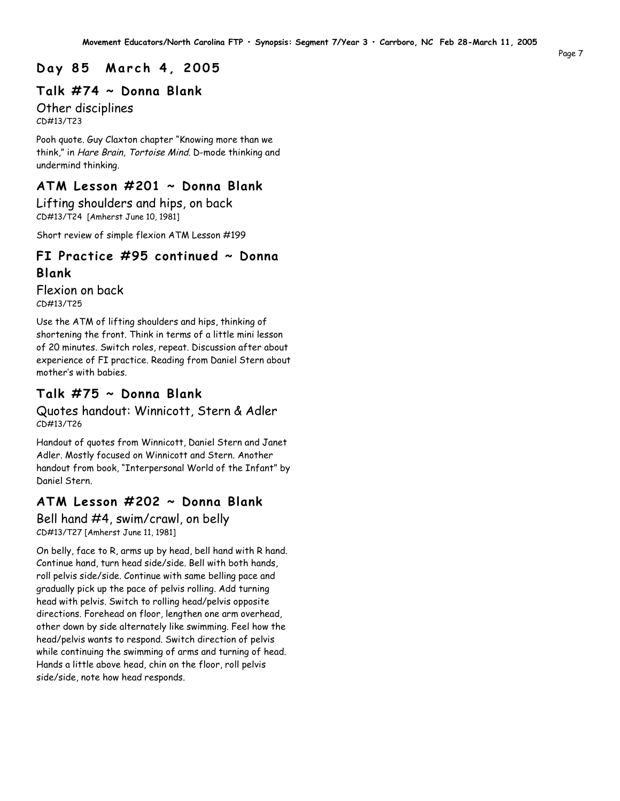### **D a y 8 5 M a r c h 4 , 2 0 0 5**

#### **Talk #74 ~ Donna Blank**

Other disciplines CD#13/T23

Pooh quote. Guy Claxton chapter "Knowing more than we think," in Hare Brain, Tortoise Mind. D-mode thinking and undermind thinking.

### **ATM Lesson #201 ~ Donna Blank**

Lifting shoulders and hips, on back CD#13/T24 [Amherst June 10, 1981]

Short review of simple flexion ATM Lesson #199

# **FI Practice #95 continued ~ Donna**

### **Blank**

Flexion on back CD#13/T25

Use the ATM of lifting shoulders and hips, thinking of shortening the front. Think in terms of a little mini lesson of 20 minutes. Switch roles, repeat. Discussion after about experience of FI practice. Reading from Daniel Stern about mother's with babies.

### **Talk #75 ~ Donna Blank**

Quotes handout: Winnicott, Stern & Adler CD#13/T26

Handout of quotes from Winnicott, Daniel Stern and Janet Adler. Mostly focused on Winnicott and Stern. Another handout from book, "Interpersonal World of the Infant" by Daniel Stern.

### **ATM Lesson #202 ~ Donna Blank**

Bell hand #4, swim/crawl, on belly CD#13/T27 [Amherst June 11, 1981]

On belly, face to R, arms up by head, bell hand with R hand. Continue hand, turn head side/side. Bell with both hands, roll pelvis side/side. Continue with same belling pace and gradually pick up the pace of pelvis rolling. Add turning head with pelvis. Switch to rolling head/pelvis opposite directions. Forehead on floor, lengthen one arm overhead, other down by side alternately like swimming. Feel how the head/pelvis wants to respond. Switch direction of pelvis while continuing the swimming of arms and turning of head. Hands a little above head, chin on the floor, roll pelvis side/side, note how head responds.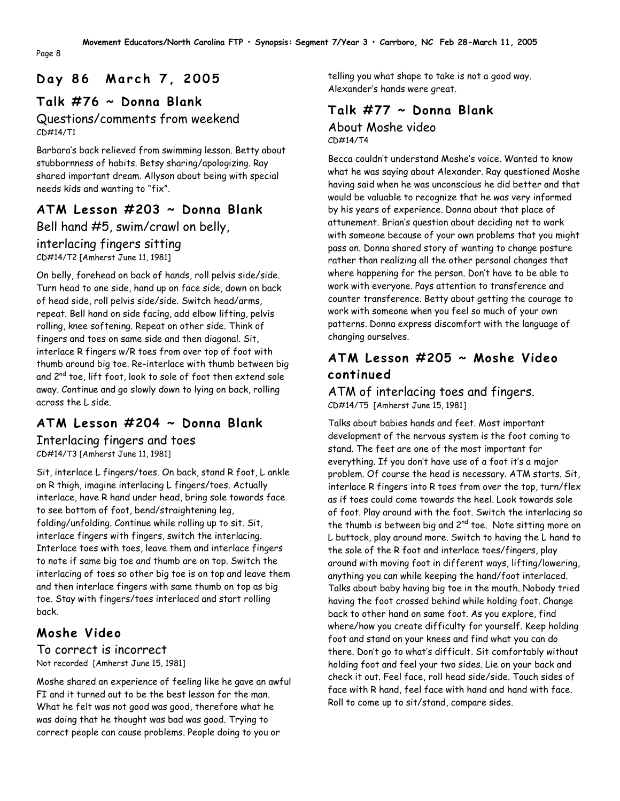# **D a y 8 6 M a r c h 7 , 2 0 0 5**

# **Talk #76 ~ Donna Blank**

### Questions/comments from weekend CD#14/T1

Barbara's back relieved from swimming lesson. Betty about stubbornness of habits. Betsy sharing/apologizing. Ray shared important dream. Allyson about being with special needs kids and wanting to "fix".

# **ATM Lesson #203 ~ Donna Blank**

Bell hand #5, swim/crawl on belly,

## interlacing fingers sitting

CD#14/T2 [Amherst June 11, 1981]

On belly, forehead on back of hands, roll pelvis side/side. Turn head to one side, hand up on face side, down on back of head side, roll pelvis side/side. Switch head/arms, repeat. Bell hand on side facing, add elbow lifting, pelvis rolling, knee softening. Repeat on other side. Think of fingers and toes on same side and then diagonal. Sit, interlace R fingers w/R toes from over top of foot with thumb around big toe. Re-interlace with thumb between big and 2<sup>nd</sup> toe, lift foot, look to sole of foot then extend sole away. Continue and go slowly down to lying on back, rolling across the L side.

# **ATM Lesson #204 ~ Donna Blank**

Interlacing fingers and toes CD#14/T3 [Amherst June 11, 1981]

Sit, interlace L fingers/toes. On back, stand R foot, L ankle on R thigh, imagine interlacing L fingers/toes. Actually interlace, have R hand under head, bring sole towards face to see bottom of foot, bend/straightening leg, folding/unfolding. Continue while rolling up to sit. Sit, interlace fingers with fingers, switch the interlacing. Interlace toes with toes, leave them and interlace fingers to note if same big toe and thumb are on top. Switch the interlacing of toes so other big toe is on top and leave them and then interlace fingers with same thumb on top as big toe. Stay with fingers/toes interlaced and start rolling back.

# **Moshe Video**

#### To correct is incorrect Not recorded [Amherst June 15, 1981]

Moshe shared an experience of feeling like he gave an awful FI and it turned out to be the best lesson for the man. What he felt was not good was good, therefore what he was doing that he thought was bad was good. Trying to correct people can cause problems. People doing to you or

telling you what shape to take is not a good way. Alexander's hands were great.

### **Talk #77 ~ Donna Blank** About Moshe video  $CD#14/T4$

Becca couldn't understand Moshe's voice. Wanted to know what he was saying about Alexander. Ray questioned Moshe having said when he was unconscious he did better and that would be valuable to recognize that he was very informed by his years of experience. Donna about that place of attunement. Brian's question about deciding not to work with someone because of your own problems that you might pass on. Donna shared story of wanting to change posture rather than realizing all the other personal changes that where happening for the person. Don't have to be able to work with everyone. Pays attention to transference and counter transference. Betty about getting the courage to work with someone when you feel so much of your own patterns. Donna express discomfort with the language of changing ourselves.

# **ATM Lesson #205 ~ Moshe Video continued**

ATM of interlacing toes and fingers. CD#14/T5 [Amherst June 15, 1981]

Talks about babies hands and feet. Most important development of the nervous system is the foot coming to stand. The feet are one of the most important for everything. If you don't have use of a foot it's a major problem. Of course the head is necessary. ATM starts. Sit, interlace R fingers into R toes from over the top, turn/flex as if toes could come towards the heel. Look towards sole of foot. Play around with the foot. Switch the interlacing so the thumb is between big and  $2^{nd}$  toe. Note sitting more on L buttock, play around more. Switch to having the L hand to the sole of the R foot and interlace toes/fingers, play around with moving foot in different ways, lifting/lowering, anything you can while keeping the hand/foot interlaced. Talks about baby having big toe in the mouth. Nobody tried having the foot crossed behind while holding foot. Change back to other hand on same foot. As you explore, find where/how you create difficulty for yourself. Keep holding foot and stand on your knees and find what you can do there. Don't go to what's difficult. Sit comfortably without holding foot and feel your two sides. Lie on your back and check it out. Feel face, roll head side/side. Touch sides of face with R hand, feel face with hand and hand with face. Roll to come up to sit/stand, compare sides.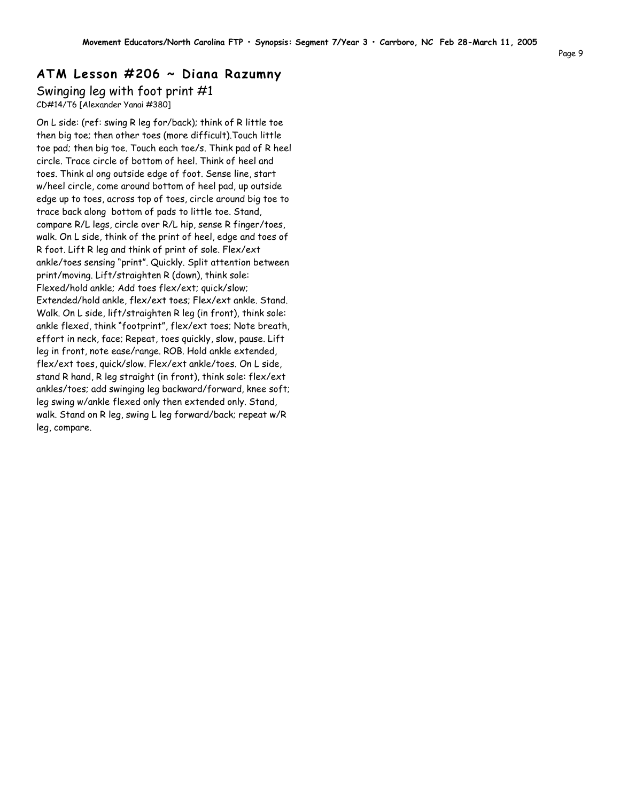## **ATM Lesson #206 ~ Diana Razumny**

#### Swinging leg with foot print #1 CD#14/T6 [Alexander Yanai #380]

On L side: (ref: swing R leg for/back); think of R little toe then big toe; then other toes (more difficult).Touch little toe pad; then big toe. Touch each toe/s. Think pad of R heel circle. Trace circle of bottom of heel. Think of heel and toes. Think al ong outside edge of foot. Sense line, start w/heel circle, come around bottom of heel pad, up outside edge up to toes, across top of toes, circle around big toe to trace back along bottom of pads to little toe. Stand, compare R/L legs, circle over R/L hip, sense R finger/toes, walk. On L side, think of the print of heel, edge and toes of R foot. Lift R leg and think of print of sole. Flex/ext ankle/toes sensing "print". Quickly. Split attention between print/moving. Lift/straighten R (down), think sole: Flexed/hold ankle; Add toes flex/ext; quick/slow; Extended/hold ankle, flex/ext toes; Flex/ext ankle. Stand. Walk. On L side, lift/straighten R leg (in front), think sole: ankle flexed, think "footprint", flex/ext toes; Note breath, effort in neck, face; Repeat, toes quickly, slow, pause. Lift leg in front, note ease/range. ROB. Hold ankle extended, flex/ext toes, quick/slow. Flex/ext ankle/toes. On L side, stand R hand, R leg straight (in front), think sole: flex/ext ankles/toes; add swinging leg backward/forward, knee soft; leg swing w/ankle flexed only then extended only. Stand, walk. Stand on R leg, swing L leg forward/back; repeat w/R leg, compare.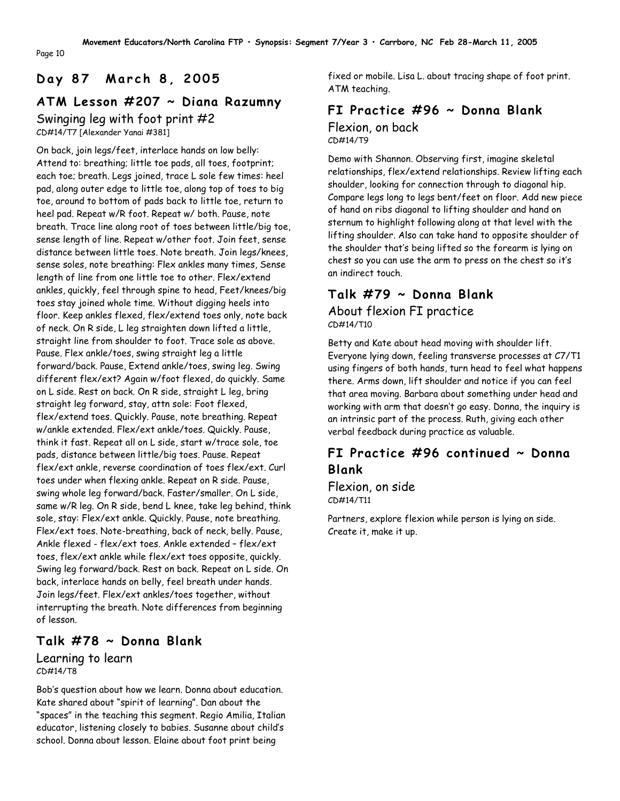# **D a y 8 7 M a r c h 8 , 2 0 0 5**

# **ATM Lesson #207 ~ Diana Razumny**

Swinging leg with foot print #2

CD#14/T7 [Alexander Yanai #381]

Page 10

On back, join legs/feet, interlace hands on low belly: Attend to: breathing; little toe pads, all toes, footprint; each toe; breath. Legs joined, trace L sole few times: heel pad, along outer edge to little toe, along top of toes to big toe, around to bottom of pads back to little toe, return to heel pad. Repeat w/R foot. Repeat w/ both. Pause, note breath. Trace line along root of toes between little/big toe, sense length of line. Repeat w/other foot. Join feet, sense distance between little toes. Note breath. Join legs/knees, sense soles, note breathing: Flex ankles many times, Sense length of line from one little toe to other. Flex/extend ankles, quickly, feel through spine to head, Feet/knees/big toes stay joined whole time. Without digging heels into floor. Keep ankles flexed, flex/extend toes only, note back of neck. On R side, L leg straighten down lifted a little, straight line from shoulder to foot. Trace sole as above. Pause. Flex ankle/toes, swing straight leg a little forward/back. Pause, Extend ankle/toes, swing leg. Swing different flex/ext? Again w/foot flexed, do quickly. Same on L side. Rest on back. On R side, straight L leg, bring straight leg forward, stay, attn sole: Foot flexed, flex/extend toes. Quickly. Pause, note breathing. Repeat w/ankle extended. Flex/ext ankle/toes. Quickly. Pause, think it fast. Repeat all on L side, start w/trace sole, toe pads, distance between little/big toes. Pause. Repeat flex/ext ankle, reverse coordination of toes flex/ext. Curl toes under when flexing ankle. Repeat on R side. Pause, swing whole leg forward/back. Faster/smaller. On L side, same w/R leg. On R side, bend L knee, take leg behind, think sole, stay: Flex/ext ankle. Quickly. Pause, note breathing. Flex/ext toes. Note-breathing, back of neck, belly. Pause, Ankle flexed - flex/ext toes. Ankle extended – flex/ext toes, flex/ext ankle while flex/ext toes opposite, quickly. Swing leg forward/back. Rest on back. Repeat on L side. On back, interlace hands on belly, feel breath under hands. Join legs/feet. Flex/ext ankles/toes together, without interrupting the breath. Note differences from beginning of lesson.

## **Talk #78 ~ Donna Blank**

#### Learning to learn CD#14/T8

Bob's question about how we learn. Donna about education. Kate shared about "spirit of learning". Dan about the "spaces" in the teaching this segment. Regio Amilia, Italian educator, listening closely to babies. Susanne about child's school. Donna about lesson. Elaine about foot print being

fixed or mobile. Lisa L. about tracing shape of foot print. ATM teaching.

### **FI Practice #96 ~ Donna Blank** Flexion, on back CD#14/T9

Demo with Shannon. Observing first, imagine skeletal relationships, flex/extend relationships. Review lifting each shoulder, looking for connection through to diagonal hip. Compare legs long to legs bent/feet on floor. Add new piece of hand on ribs diagonal to lifting shoulder and hand on sternum to highlight following along at that level with the lifting shoulder. Also can take hand to opposite shoulder of the shoulder that's being lifted so the forearm is lying on chest so you can use the arm to press on the chest so it's an indirect touch.

# **Talk #79 ~ Donna Blank** About flexion FI practice

CD#14/T10

Betty and Kate about head moving with shoulder lift. Everyone lying down, feeling transverse processes at C7/T1 using fingers of both hands, turn head to feel what happens there. Arms down, lift shoulder and notice if you can feel that area moving. Barbara about something under head and working with arm that doesn't go easy. Donna, the inquiry is an intrinsic part of the process. Ruth, giving each other verbal feedback during practice as valuable.

# **FI Practice #96 continued ~ Donna Blank**

Flexion, on side CD#14/T11

Partners, explore flexion while person is lying on side. Create it, make it up.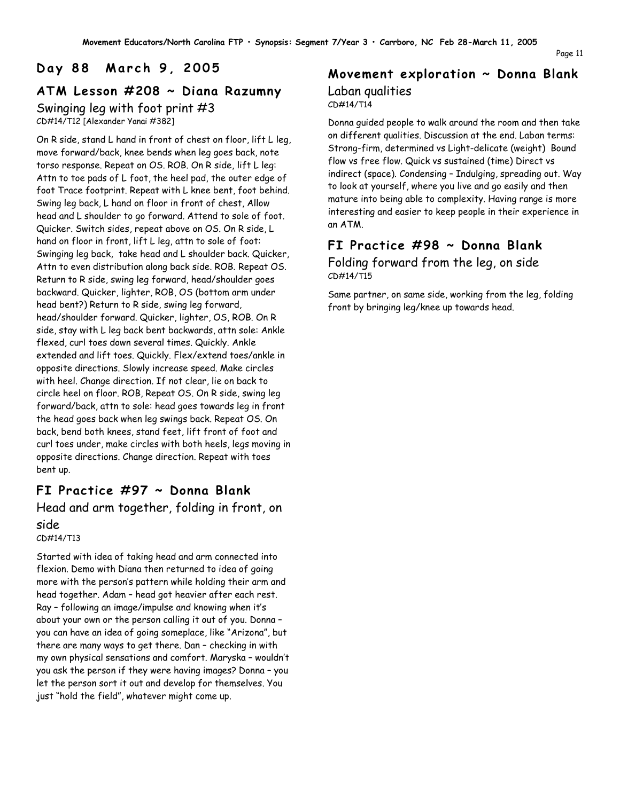# **D a y 8 8 M a r c h 9 , 2 0 0 5**

### **ATM Lesson #208 ~ Diana Razumny** Swinging leg with foot print #3 CD#14/T12 [Alexander Yanai #382]

On R side, stand L hand in front of chest on floor, lift L leg, move forward/back, knee bends when leg goes back, note torso response. Repeat on OS. ROB. On R side, lift L leg: Attn to toe pads of L foot, the heel pad, the outer edge of foot Trace footprint. Repeat with L knee bent, foot behind. Swing leg back, L hand on floor in front of chest, Allow head and L shoulder to go forward. Attend to sole of foot. Quicker. Switch sides, repeat above on OS. On R side, L hand on floor in front, lift L leg, attn to sole of foot: Swinging leg back, take head and L shoulder back. Quicker, Attn to even distribution along back side. ROB. Repeat OS. Return to R side, swing leg forward, head/shoulder goes backward. Quicker, lighter, ROB, OS (bottom arm under head bent?) Return to R side, swing leg forward, head/shoulder forward. Quicker, lighter, OS, ROB. On R side, stay with L leg back bent backwards, attn sole: Ankle flexed, curl toes down several times. Quickly. Ankle extended and lift toes. Quickly. Flex/extend toes/ankle in opposite directions. Slowly increase speed. Make circles with heel. Change direction. If not clear, lie on back to circle heel on floor. ROB, Repeat OS. On R side, swing leg forward/back, attn to sole: head goes towards leg in front the head goes back when leg swings back. Repeat OS. On back, bend both knees, stand feet, lift front of foot and curl toes under, make circles with both heels, legs moving in opposite directions. Change direction. Repeat with toes bent up.

## **FI Practice #97 ~ Donna Blank** Head and arm together, folding in front, on side

CD#14/T13

Started with idea of taking head and arm connected into flexion. Demo with Diana then returned to idea of going more with the person's pattern while holding their arm and head together. Adam – head got heavier after each rest. Ray – following an image/impulse and knowing when it's about your own or the person calling it out of you. Donna – you can have an idea of going someplace, like "Arizona", but there are many ways to get there. Dan – checking in with my own physical sensations and comfort. Maryska – wouldn't you ask the person if they were having images? Donna – you let the person sort it out and develop for themselves. You just "hold the field", whatever might come up.

#### **Movement exploration ~ Donna Blank** Laban qualities CD#14/T14

Donna guided people to walk around the room and then take on different qualities. Discussion at the end. Laban terms: Strong-firm, determined vs Light-delicate (weight) Bound flow vs free flow. Quick vs sustained (time) Direct vs indirect (space). Condensing – Indulging, spreading out. Way to look at yourself, where you live and go easily and then mature into being able to complexity. Having range is more interesting and easier to keep people in their experience in an ATM.

# **FI Practice #98 ~ Donna Blank**

Folding forward from the leg, on side CD#14/T15

Same partner, on same side, working from the leg, folding front by bringing leg/knee up towards head.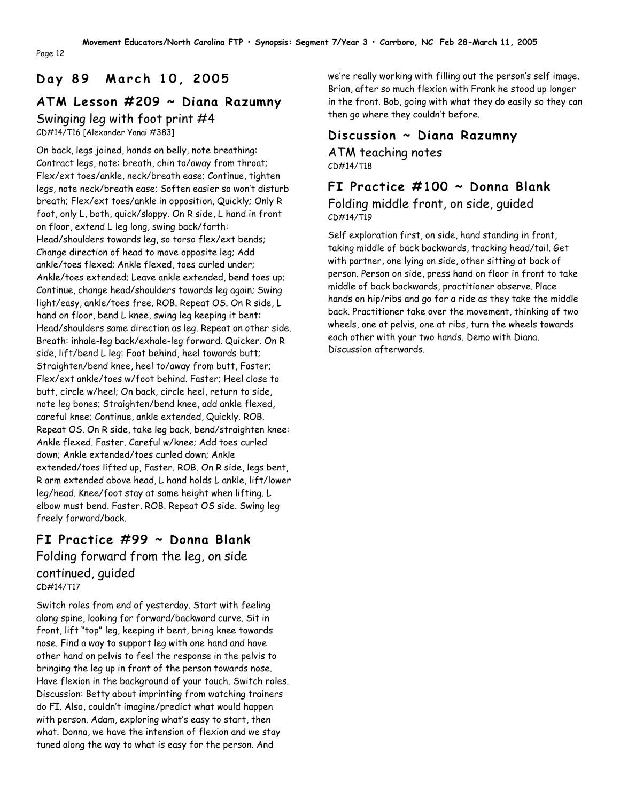# **D a y 8 9 M a r c h 1 0 , 2 0 0 5**

Page 12

# **ATM Lesson #209 ~ Diana Razumny**

Swinging leg with foot print #4 CD#14/T16 [Alexander Yanai #383]

On back, legs joined, hands on belly, note breathing: Contract legs, note: breath, chin to/away from throat; Flex/ext toes/ankle, neck/breath ease; Continue, tighten legs, note neck/breath ease; Soften easier so won't disturb breath; Flex/ext toes/ankle in opposition, Quickly; Only R foot, only L, both, quick/sloppy. On R side, L hand in front on floor, extend L leg long, swing back/forth: Head/shoulders towards leg, so torso flex/ext bends; Change direction of head to move opposite leg; Add ankle/toes flexed; Ankle flexed, toes curled under; Ankle/toes extended; Leave ankle extended, bend toes up; Continue, change head/shoulders towards leg again; Swing light/easy, ankle/toes free. ROB. Repeat OS. On R side, L hand on floor, bend L knee, swing leg keeping it bent: Head/shoulders same direction as leg. Repeat on other side. Breath: inhale-leg back/exhale-leg forward. Quicker. On R side, lift/bend L leg: Foot behind, heel towards butt; Straighten/bend knee, heel to/away from butt, Faster; Flex/ext ankle/toes w/foot behind. Faster; Heel close to butt, circle w/heel; On back, circle heel, return to side, note leg bones; Straighten/bend knee, add ankle flexed, careful knee; Continue, ankle extended, Quickly. ROB. Repeat OS. On R side, take leg back, bend/straighten knee: Ankle flexed. Faster. Careful w/knee; Add toes curled down; Ankle extended/toes curled down; Ankle extended/toes lifted up, Faster. ROB. On R side, legs bent, R arm extended above head, L hand holds L ankle, lift/lower leg/head. Knee/foot stay at same height when lifting. L elbow must bend. Faster. ROB. Repeat OS side. Swing leg freely forward/back.

# **FI Practice #99 ~ Donna Blank**

Folding forward from the leg, on side continued, guided CD#14/T17

Switch roles from end of yesterday. Start with feeling along spine, looking for forward/backward curve. Sit in front, lift "top" leg, keeping it bent, bring knee towards nose. Find a way to support leg with one hand and have other hand on pelvis to feel the response in the pelvis to bringing the leg up in front of the person towards nose. Have flexion in the background of your touch. Switch roles. Discussion: Betty about imprinting from watching trainers do FI. Also, couldn't imagine/predict what would happen with person. Adam, exploring what's easy to start, then what. Donna, we have the intension of flexion and we stay tuned along the way to what is easy for the person. And

we're really working with filling out the person's self image. Brian, after so much flexion with Frank he stood up longer in the front. Bob, going with what they do easily so they can then go where they couldn't before.

## **Discussion ~ Diana Razumny**

ATM teaching notes CD#14/T18

**FI Practice #100 ~ Donna Blank** Folding middle front, on side, guided  $CD#14/T19$ 

Self exploration first, on side, hand standing in front, taking middle of back backwards, tracking head/tail. Get with partner, one lying on side, other sitting at back of person. Person on side, press hand on floor in front to take middle of back backwards, practitioner observe. Place hands on hip/ribs and go for a ride as they take the middle back. Practitioner take over the movement, thinking of two wheels, one at pelvis, one at ribs, turn the wheels towards each other with your two hands. Demo with Diana. Discussion afterwards.